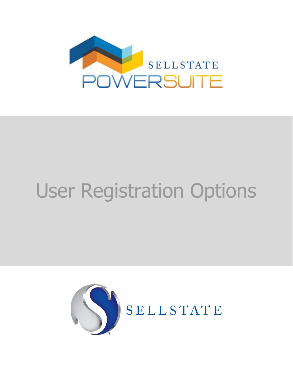

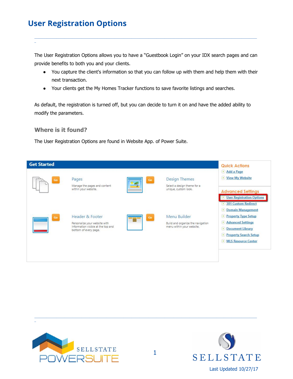The User Registration Options allows you to have a "Guestbook Login" on your IDX search pages and can provide benefits to both you and your clients.

\_\_\_\_\_\_\_\_\_\_\_\_\_\_\_\_\_\_\_\_\_\_\_\_\_\_\_\_\_\_\_\_\_\_\_\_\_\_\_\_\_\_\_\_\_\_\_\_\_\_\_\_\_\_\_\_\_\_\_\_\_\_\_\_\_\_\_\_\_\_\_\_\_\_\_\_\_\_\_\_\_\_\_\_\_\_\_\_\_\_\_\_\_\_\_\_\_\_\_\_\_\_\_\_\_\_\_\_\_\_\_\_\_\_\_\_\_\_\_\_\_\_\_\_\_\_\_\_\_\_\_\_\_\_\_\_\_\_\_\_\_\_

- You capture the client's information so that you can follow up with them and help them with their next transaction.
- Your clients get the My Homes Tracker functions to save favorite listings and searches.

As default, the registration is turned off, but you can decide to turn it on and have the added ability to modify the parameters.

## **Where is it found?**

\_

The User Registration Options are found in Website App. of Power Suite.





\_



\_\_\_\_\_\_\_\_\_\_\_\_\_\_\_\_\_\_\_\_\_\_\_\_\_\_\_\_\_\_\_\_\_\_\_\_\_\_\_\_\_\_\_\_\_\_\_\_\_\_\_\_\_\_\_\_\_\_\_\_\_\_\_\_\_\_\_\_\_\_\_\_\_\_\_\_\_\_\_\_\_\_\_\_\_\_\_\_\_\_\_\_\_\_\_\_\_\_\_\_\_\_\_\_\_\_\_\_\_\_\_\_\_\_\_\_\_\_\_\_\_\_\_\_\_\_\_\_\_\_\_\_\_\_\_\_\_\_\_\_\_\_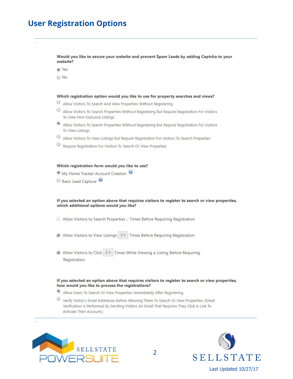Would you like to secure your website and prevent Spam Leads by adding Captcha to your website?

O Yes

O No

#### Which registration option would you like to use for property searches and views?

- $\odot$ Allow Visitors To Search And View Properties Without Registering
- $\circledcirc$ Allow Visitors To Search Properties Without Registering But Require Registration For Visitors To View Non-Exclusive Listings
- Allow Visitors To Search Properties Without Registering But Require Registration For Visitors To View Listings
- ◉ Allow Visitors To View Listings But Require Registration For Visitors To Search Properties
- $\circledcirc$ Require Registration For Visitors To Search Or View Properties

#### Which registration form would you like to use?

- My Home Tracker Account Creation
- Basic Lead Capture

#### If you selected an option above that requires visitors to register to search or view properties, which additional options would you like?

- Allow Visitors to Search Properties 2 Times Before Requiring Registration
- Allow Visitors to View Listings 2 Times Before Requiring Registration
- Allow Visitors to Click 2 Times While Viewing a Listing Before Requiring Registration

#### If you selected an option above that requires visitors to register to search or view properties, how would you like to process the registrations?

- ۰ Allow Users To Search Or View Properties Immediately After Registering
- ◉ Verify Visitor's Email Addresses Before Allowing Them To Search Or View Properties. (Email Verification Is Performed By Sending Visitors An Email That Requires They Click A Link To Activate Their Account.)



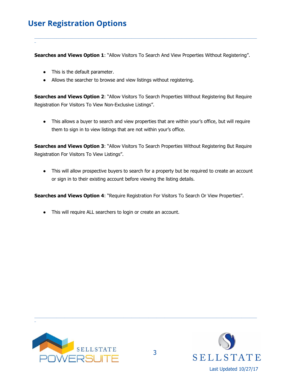\_

**Searches and Views Option 1**: "Allow Visitors To Search And View Properties Without Registering".

\_\_\_\_\_\_\_\_\_\_\_\_\_\_\_\_\_\_\_\_\_\_\_\_\_\_\_\_\_\_\_\_\_\_\_\_\_\_\_\_\_\_\_\_\_\_\_\_\_\_\_\_\_\_\_\_\_\_\_\_\_\_\_\_\_\_\_\_\_\_\_\_\_\_\_\_\_\_\_\_\_\_\_\_\_\_\_\_\_\_\_\_\_\_\_\_\_\_\_\_\_\_\_\_\_\_\_\_\_\_\_\_\_\_\_\_\_\_\_\_\_\_\_\_\_\_\_\_\_\_\_\_\_\_\_\_\_\_\_\_\_\_

- This is the default parameter.
- Allows the searcher to browse and view listings without registering.

**Searches and Views Option 2**: "Allow Visitors To Search Properties Without Registering But Require Registration For Visitors To View Non-Exclusive Listings".

• This allows a buyer to search and view properties that are within your's office, but will require them to sign in to view listings that are not within your's office.

**Searches and Views Option 3**: "Allow Visitors To Search Properties Without Registering But Require Registration For Visitors To View Listings".

• This will allow prospective buyers to search for a property but be required to create an account or sign in to their existing account before viewing the listing details.

**Searches and Views Option 4**: "Require Registration For Visitors To Search Or View Properties".

● This will require ALL searchers to login or create an account.



\_



\_\_\_\_\_\_\_\_\_\_\_\_\_\_\_\_\_\_\_\_\_\_\_\_\_\_\_\_\_\_\_\_\_\_\_\_\_\_\_\_\_\_\_\_\_\_\_\_\_\_\_\_\_\_\_\_\_\_\_\_\_\_\_\_\_\_\_\_\_\_\_\_\_\_\_\_\_\_\_\_\_\_\_\_\_\_\_\_\_\_\_\_\_\_\_\_\_\_\_\_\_\_\_\_\_\_\_\_\_\_\_\_\_\_\_\_\_\_\_\_\_\_\_\_\_\_\_\_\_\_\_\_\_\_\_\_\_\_\_\_\_\_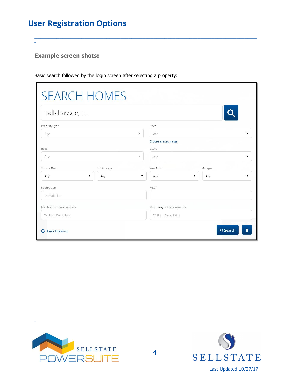**Example screen shots:** 

| <b>SEARCH HOMES</b>               |             |                             |          |
|-----------------------------------|-------------|-----------------------------|----------|
| Tallahassee, FL                   |             |                             |          |
| Property Type                     |             | Price                       |          |
| Any                               |             | Any<br>v                    |          |
|                                   |             | Choose an exact range       |          |
| Beds                              |             | <b>Baths</b>                |          |
| $\mathbf{v}$<br>Any               |             | Any                         |          |
| Square Feet                       | Lot Acreage | Year Built<br>Garages       |          |
| Any                               | Any         | Any                         | Any<br>▼ |
| Subdivision                       |             | MLS#                        |          |
| EX: Park Place                    |             |                             |          |
| Match all of these keywords       |             | Match any of these keywords |          |
| EX: Pool, Deck, Patio             |             | EX: Pool, Deck, Patio       |          |
| Q Search<br><b>⊝</b> Less Options |             |                             |          |

Basic search followed by the login screen after selecting a property:



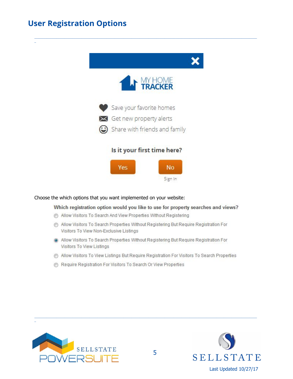

### Choose the which options that you want implemented on your website:

## Which registration option would you like to use for property searches and views?

- Allow Visitors To Search And View Properties Without Registering
- Allow Visitors To Search Properties Without Registering But Require Registration For Visitors To View Non-Exclusive Listings
- @ Allow Visitors To Search Properties Without Registering But Require Registration For Visitors To View Listings
- Allow Visitors To View Listings But Require Registration For Visitors To Search Properties
- Require Registration For Visitors To Search Or View Properties